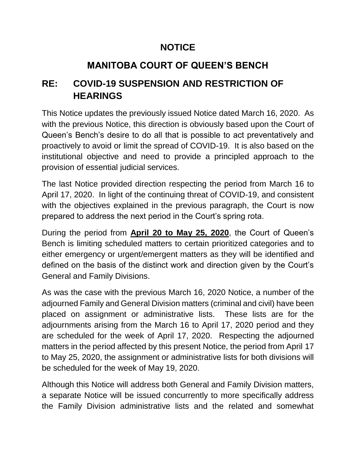## **NOTICE**

# **MANITOBA COURT OF QUEEN'S BENCH**

## **RE: COVID-19 SUSPENSION AND RESTRICTION OF HEARINGS**

This Notice updates the previously issued Notice dated March 16, 2020. As with the previous Notice, this direction is obviously based upon the Court of Queen's Bench's desire to do all that is possible to act preventatively and proactively to avoid or limit the spread of COVID-19. It is also based on the institutional objective and need to provide a principled approach to the provision of essential judicial services.

The last Notice provided direction respecting the period from March 16 to April 17, 2020. In light of the continuing threat of COVID-19, and consistent with the objectives explained in the previous paragraph, the Court is now prepared to address the next period in the Court's spring rota.

During the period from **April 20 to May 25, 2020**, the Court of Queen's Bench is limiting scheduled matters to certain prioritized categories and to either emergency or urgent/emergent matters as they will be identified and defined on the basis of the distinct work and direction given by the Court's General and Family Divisions.

As was the case with the previous March 16, 2020 Notice, a number of the adjourned Family and General Division matters (criminal and civil) have been placed on assignment or administrative lists. These lists are for the adjournments arising from the March 16 to April 17, 2020 period and they are scheduled for the week of April 17, 2020. Respecting the adjourned matters in the period affected by this present Notice, the period from April 17 to May 25, 2020, the assignment or administrative lists for both divisions will be scheduled for the week of May 19, 2020.

Although this Notice will address both General and Family Division matters, a separate Notice will be issued concurrently to more specifically address the Family Division administrative lists and the related and somewhat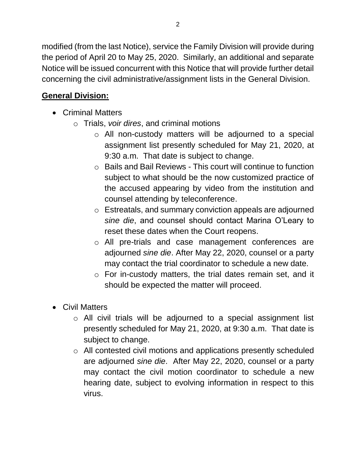modified (from the last Notice), service the Family Division will provide during the period of April 20 to May 25, 2020. Similarly, an additional and separate Notice will be issued concurrent with this Notice that will provide further detail concerning the civil administrative/assignment lists in the General Division.

## **General Division:**

- Criminal Matters
	- o Trials, *voir dires*, and criminal motions
		- o All non-custody matters will be adjourned to a special assignment list presently scheduled for May 21, 2020, at 9:30 a.m. That date is subject to change.
		- o Bails and Bail Reviews This court will continue to function subject to what should be the now customized practice of the accused appearing by video from the institution and counsel attending by teleconference.
		- o Estreatals, and summary conviction appeals are adjourned *sine die*, and counsel should contact Marina O'Leary to reset these dates when the Court reopens.
		- o All pre-trials and case management conferences are adjourned *sine die*. After May 22, 2020, counsel or a party may contact the trial coordinator to schedule a new date.
		- o For in-custody matters, the trial dates remain set, and it should be expected the matter will proceed.
- Civil Matters
	- o All civil trials will be adjourned to a special assignment list presently scheduled for May 21, 2020, at 9:30 a.m. That date is subject to change.
	- o All contested civil motions and applications presently scheduled are adjourned *sine die*. After May 22, 2020, counsel or a party may contact the civil motion coordinator to schedule a new hearing date, subject to evolving information in respect to this virus.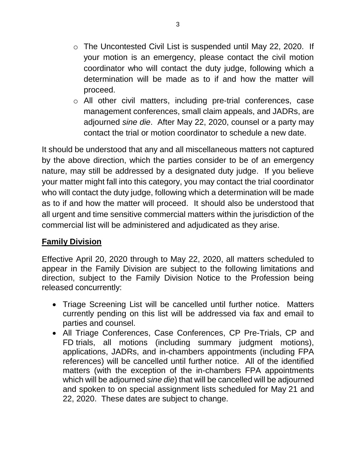- o The Uncontested Civil List is suspended until May 22, 2020. If your motion is an emergency, please contact the civil motion coordinator who will contact the duty judge, following which a determination will be made as to if and how the matter will proceed.
- o All other civil matters, including pre-trial conferences, case management conferences, small claim appeals, and JADRs, are adjourned *sine die*. After May 22, 2020, counsel or a party may contact the trial or motion coordinator to schedule a new date.

It should be understood that any and all miscellaneous matters not captured by the above direction, which the parties consider to be of an emergency nature, may still be addressed by a designated duty judge. If you believe your matter might fall into this category, you may contact the trial coordinator who will contact the duty judge, following which a determination will be made as to if and how the matter will proceed. It should also be understood that all urgent and time sensitive commercial matters within the jurisdiction of the commercial list will be administered and adjudicated as they arise.

#### **Family Division**

Effective April 20, 2020 through to May 22, 2020, all matters scheduled to appear in the Family Division are subject to the following limitations and direction, subject to the Family Division Notice to the Profession being released concurrently:

- Triage Screening List will be cancelled until further notice. Matters currently pending on this list will be addressed via fax and email to parties and counsel.
- All Triage Conferences, Case Conferences, CP Pre-Trials, CP and FD trials, all motions (including summary judgment motions), applications, JADRs, and in-chambers appointments (including FPA references) will be cancelled until further notice. All of the identified matters (with the exception of the in-chambers FPA appointments which will be adjourned *sine die*) that will be cancelled will be adjourned and spoken to on special assignment lists scheduled for May 21 and 22, 2020. These dates are subject to change.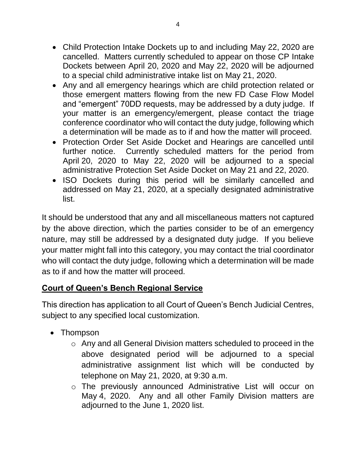- Child Protection Intake Dockets up to and including May 22, 2020 are cancelled. Matters currently scheduled to appear on those CP Intake Dockets between April 20, 2020 and May 22, 2020 will be adjourned to a special child administrative intake list on May 21, 2020.
- Any and all emergency hearings which are child protection related or those emergent matters flowing from the new FD Case Flow Model and "emergent" 70DD requests, may be addressed by a duty judge. If your matter is an emergency/emergent, please contact the triage conference coordinator who will contact the duty judge, following which a determination will be made as to if and how the matter will proceed.
- Protection Order Set Aside Docket and Hearings are cancelled until further notice. Currently scheduled matters for the period from April 20, 2020 to May 22, 2020 will be adjourned to a special administrative Protection Set Aside Docket on May 21 and 22, 2020.
- ISO Dockets during this period will be similarly cancelled and addressed on May 21, 2020, at a specially designated administrative list.

It should be understood that any and all miscellaneous matters not captured by the above direction, which the parties consider to be of an emergency nature, may still be addressed by a designated duty judge. If you believe your matter might fall into this category, you may contact the trial coordinator who will contact the duty judge, following which a determination will be made as to if and how the matter will proceed.

### **Court of Queen's Bench Regional Service**

This direction has application to all Court of Queen's Bench Judicial Centres, subject to any specified local customization.

- Thompson
	- o Any and all General Division matters scheduled to proceed in the above designated period will be adjourned to a special administrative assignment list which will be conducted by telephone on May 21, 2020, at 9:30 a.m.
	- o The previously announced Administrative List will occur on May 4, 2020. Any and all other Family Division matters are adjourned to the June 1, 2020 list.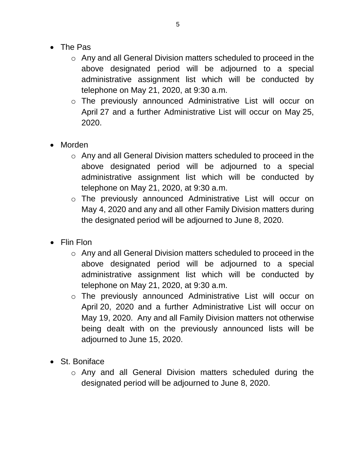- The Pas
	- o Any and all General Division matters scheduled to proceed in the above designated period will be adjourned to a special administrative assignment list which will be conducted by telephone on May 21, 2020, at 9:30 a.m.
	- o The previously announced Administrative List will occur on April 27 and a further Administrative List will occur on May 25, 2020.
- Morden
	- o Any and all General Division matters scheduled to proceed in the above designated period will be adjourned to a special administrative assignment list which will be conducted by telephone on May 21, 2020, at 9:30 a.m.
	- o The previously announced Administrative List will occur on May 4, 2020 and any and all other Family Division matters during the designated period will be adjourned to June 8, 2020.
- Flin Flon
	- o Any and all General Division matters scheduled to proceed in the above designated period will be adjourned to a special administrative assignment list which will be conducted by telephone on May 21, 2020, at 9:30 a.m.
	- o The previously announced Administrative List will occur on April 20, 2020 and a further Administrative List will occur on May 19, 2020. Any and all Family Division matters not otherwise being dealt with on the previously announced lists will be adjourned to June 15, 2020.
- St. Boniface
	- o Any and all General Division matters scheduled during the designated period will be adjourned to June 8, 2020.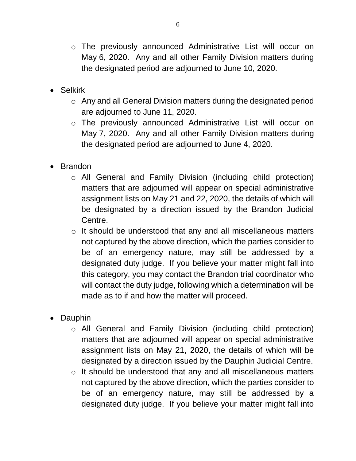- o The previously announced Administrative List will occur on May 6, 2020. Any and all other Family Division matters during the designated period are adjourned to June 10, 2020.
- Selkirk
	- o Any and all General Division matters during the designated period are adjourned to June 11, 2020.
	- o The previously announced Administrative List will occur on May 7, 2020. Any and all other Family Division matters during the designated period are adjourned to June 4, 2020.
- Brandon
	- o All General and Family Division (including child protection) matters that are adjourned will appear on special administrative assignment lists on May 21 and 22, 2020, the details of which will be designated by a direction issued by the Brandon Judicial Centre.
	- o It should be understood that any and all miscellaneous matters not captured by the above direction, which the parties consider to be of an emergency nature, may still be addressed by a designated duty judge. If you believe your matter might fall into this category, you may contact the Brandon trial coordinator who will contact the duty judge, following which a determination will be made as to if and how the matter will proceed.
- Dauphin
	- o All General and Family Division (including child protection) matters that are adjourned will appear on special administrative assignment lists on May 21, 2020, the details of which will be designated by a direction issued by the Dauphin Judicial Centre.
	- o It should be understood that any and all miscellaneous matters not captured by the above direction, which the parties consider to be of an emergency nature, may still be addressed by a designated duty judge. If you believe your matter might fall into